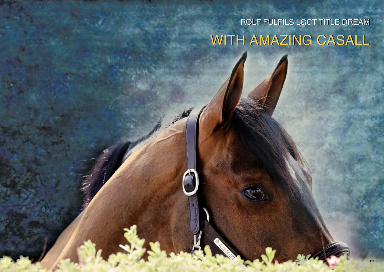## WITH AMAZING CASALL ROLF FULFILS LGCT TITLE DREAM

**CONTRACTOR**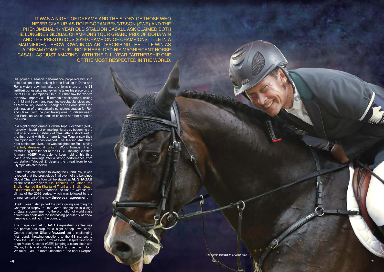His powerful season performance propelled him into pole position in the ranking for the final leg in Doha and Rolf's victory saw him take the lion's share of the **€1 million** bonus prize money as he takes his place on the list of LGCT Champions. On a Tour that saw the world's top show jumpers visit **15** incredible destinations, kicking off in Miami Beach, and reaching spectacular cities such as Mexico City, Monaco, Shanghai and Rome, it was the culmination of a fantastically consistent season for Rolf and Casall, with the pair taking wins in Valkenswaard and Paris, as well as podium finishes at other stops on the circuit.

In a night of high drama, Edwina Tops-Alexander (AUS) narrowly missed out on making history by becoming the first rider to win a hat-trick of titles, after a shock exit in the first round with fiery mare Lintea Tequila saw their Championship hopes dashed. The leading Australian rider settled for silver, and was delighted for Rolf, saying "he truly deserved it tonight". World Number 1 and former long-time leader of the LGCT Ranking Christian Ahlmann (GER) was able to keep hold of his third place in the rankings after a strong performance from top stallion Taloubet Z, despite the threat from fellow Olympic athletes below.

IT WAS ANISON THE STORE THOSE WAS NOT THOSE WAS A NOT THOSE WAS CLAIMED BY THE MANY CLAIMED BY CHARGE OLD STALL AS YOUR CHAINER OLD MANINTENCE IT IS THOSE UNSER A CLAIMED BY A NANOT THE PARTICUSE AT A MANINTENCE AND THE ST never give up, as Rolf-Göran Bengtsson (SWE) and the phenomenal 17 year old stallion Casall ASK claimed both the Longines Global Champions Tour Grand Prix of Doha win and the prestigious 2016 Champion of Champions title in a magnificent showdown in Qatar. Describing the Title win as "a dream come true", Rolf heralded his magnificent horse Casall as "just amazing", with their 11 year partnership one of the most respected in the world .

In the press conference following the Grand Prix, it was revealed that the prestigious final event of the Longines Global Champions Tour will be staged at **AL SHAQAB**  for the next three years. His Highness The Father Emir Sheikh Hamad Bin Khalifa Al Thani and Sheikh Joaan bin Hamad Al Thani attended the final to witness the climax of the 2016 series, which was followed by the announcement of the new **three-year agreement** .

Sheikh Joaan also joined the prize giving awarding the Champions trophy to Rolf-Göran Bengtsson in a sign of Qatar's commitment to the promotion of world class equestrian sport and the increasing popularity of show jumping and riding in the country.

The magnificent AL SHAQAB equestrian centre was the perfect backdrop for a night of top level sport. Course designer **Uliano Vezzani** set a challenging first round, throwing questions to the **41** starters to open the LGCT Grand Prix of Doha. Despite first rider to go Marco Kutscher (GER) jumping a clean clear with Clenur, thrills and spills came thick and fast, with John